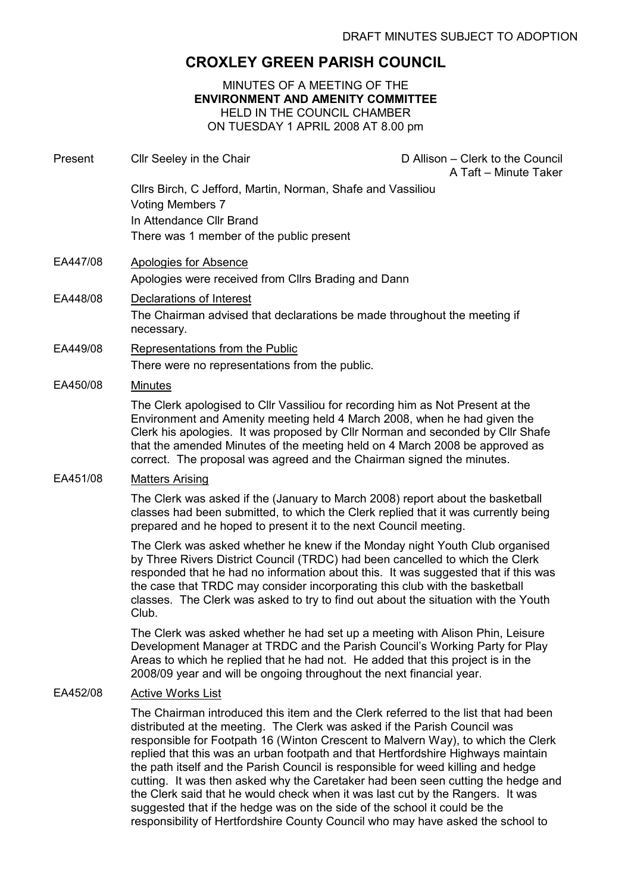# CROXLEY GREEN PARISH COUNCIL

#### MINUTES OF A MEETING OF THE ENVIRONMENT AND AMENITY COMMITTEE HELD IN THE COUNCIL CHAMBER ON TUESDAY 1 APRIL 2008 AT 8.00 pm

| Present  | Cllr Seeley in the Chair                                                                                                                                                                                                                                                                                                                                                                                                                                                                                        | D Allison - Clerk to the Council<br>A Taft - Minute Taker |
|----------|-----------------------------------------------------------------------------------------------------------------------------------------------------------------------------------------------------------------------------------------------------------------------------------------------------------------------------------------------------------------------------------------------------------------------------------------------------------------------------------------------------------------|-----------------------------------------------------------|
|          | Cllrs Birch, C Jefford, Martin, Norman, Shafe and Vassiliou<br><b>Voting Members 7</b><br>In Attendance Cllr Brand<br>There was 1 member of the public present                                                                                                                                                                                                                                                                                                                                                  |                                                           |
| EA447/08 | Apologies for Absence                                                                                                                                                                                                                                                                                                                                                                                                                                                                                           |                                                           |
|          | Apologies were received from Cllrs Brading and Dann                                                                                                                                                                                                                                                                                                                                                                                                                                                             |                                                           |
| EA448/08 | Declarations of Interest<br>The Chairman advised that declarations be made throughout the meeting if<br>necessary.                                                                                                                                                                                                                                                                                                                                                                                              |                                                           |
| EA449/08 | Representations from the Public<br>There were no representations from the public.                                                                                                                                                                                                                                                                                                                                                                                                                               |                                                           |
| EA450/08 | <b>Minutes</b>                                                                                                                                                                                                                                                                                                                                                                                                                                                                                                  |                                                           |
|          | The Clerk apologised to Cllr Vassiliou for recording him as Not Present at the<br>Environment and Amenity meeting held 4 March 2008, when he had given the<br>Clerk his apologies. It was proposed by Cllr Norman and seconded by Cllr Shafe<br>that the amended Minutes of the meeting held on 4 March 2008 be approved as<br>correct. The proposal was agreed and the Chairman signed the minutes.                                                                                                            |                                                           |
| EA451/08 | <b>Matters Arising</b>                                                                                                                                                                                                                                                                                                                                                                                                                                                                                          |                                                           |
|          | The Clerk was asked if the (January to March 2008) report about the basketball<br>classes had been submitted, to which the Clerk replied that it was currently being<br>prepared and he hoped to present it to the next Council meeting.                                                                                                                                                                                                                                                                        |                                                           |
|          | The Clerk was asked whether he knew if the Monday night Youth Club organised<br>by Three Rivers District Council (TRDC) had been cancelled to which the Clerk<br>responded that he had no information about this. It was suggested that if this was<br>the case that TRDC may consider incorporating this club with the basketball<br>classes. The Clerk was asked to try to find out about the situation with the Youth<br>Club.                                                                               |                                                           |
|          | The Clerk was asked whether he had set up a meeting with Alison Phin, Leisure<br>Development Manager at TRDC and the Parish Council's Working Party for Play<br>Areas to which he replied that he had not. He added that this project is in the<br>2008/09 year and will be ongoing throughout the next financial year.                                                                                                                                                                                         |                                                           |
| EA452/08 | <b>Active Works List</b>                                                                                                                                                                                                                                                                                                                                                                                                                                                                                        |                                                           |
|          | The Chairman introduced this item and the Clerk referred to the list that had been<br>distributed at the meeting. The Clerk was asked if the Parish Council was<br>responsible for Footpath 16 (Winton Crescent to Malvern Way), to which the Clerk<br>replied that this was an urban footpath and that Hertfordshire Highways maintain<br>the path itself and the Parish Council is responsible for weed killing and hedge<br>cutting. It was then asked why the Caretaker had been seen cutting the hedge and |                                                           |

the Clerk said that he would check when it was last cut by the Rangers. It was suggested that if the hedge was on the side of the school it could be the responsibility of Hertfordshire County Council who may have asked the school to